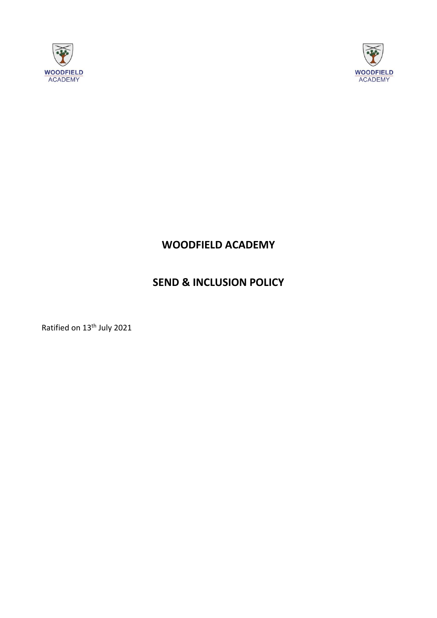



# **WOODFIELD ACADEMY**

# **SEND & INCLUSION POLICY**

Ratified on 13th July 2021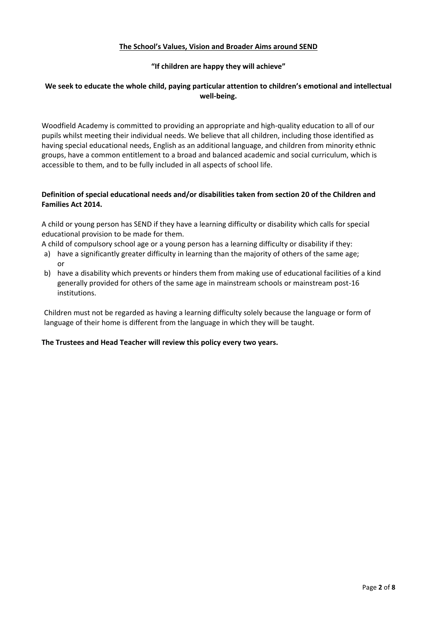# **The School's Values, Vision and Broader Aims around SEND**

## **"If children are happy they will achieve"**

# **We seek to educate the whole child, paying particular attention to children's emotional and intellectual well-being.**

Woodfield Academy is committed to providing an appropriate and high-quality education to all of our pupils whilst meeting their individual needs. We believe that all children, including those identified as having special educational needs, English as an additional language, and children from minority ethnic groups, have a common entitlement to a broad and balanced academic and social curriculum, which is accessible to them, and to be fully included in all aspects of school life.

## **Definition of special educational needs and/or disabilities taken from section 20 of the Children and Families Act 2014.**

A child or young person has SEND if they have a learning difficulty or disability which calls for special educational provision to be made for them.

A child of compulsory school age or a young person has a learning difficulty or disability if they:

- a) have a significantly greater difficulty in learning than the majority of others of the same age; or
- b) have a disability which prevents or hinders them from making use of educational facilities of a kind generally provided for others of the same age in mainstream schools or mainstream post-16 institutions.

Children must not be regarded as having a learning difficulty solely because the language or form of language of their home is different from the language in which they will be taught.

## **The Trustees and Head Teacher will review this policy every two years.**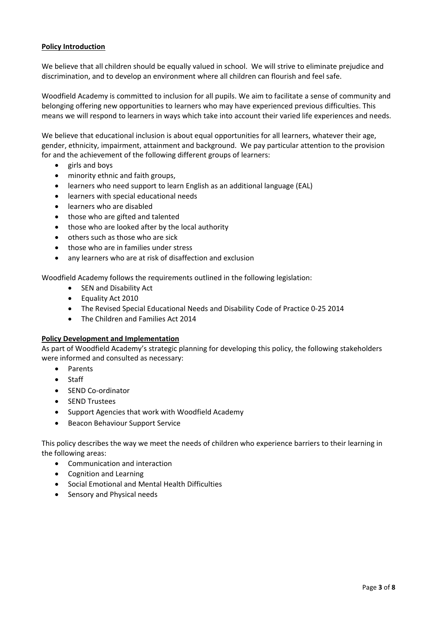## **Policy Introduction**

We believe that all children should be equally valued in school. We will strive to eliminate prejudice and discrimination, and to develop an environment where all children can flourish and feel safe.

Woodfield Academy is committed to inclusion for all pupils. We aim to facilitate a sense of community and belonging offering new opportunities to learners who may have experienced previous difficulties. This means we will respond to learners in ways which take into account their varied life experiences and needs.

We believe that educational inclusion is about equal opportunities for all learners, whatever their age, gender, ethnicity, impairment, attainment and background. We pay particular attention to the provision for and the achievement of the following different groups of learners:

- girls and boys
- minority ethnic and faith groups,
- learners who need support to learn English as an additional language (EAL)
- learners with special educational needs
- learners who are disabled
- those who are gifted and talented
- those who are looked after by the local authority
- others such as those who are sick
- those who are in families under stress
- any learners who are at risk of disaffection and exclusion

Woodfield Academy follows the requirements outlined in the following legislation:

- SEN and Disability Act
- Equality Act 2010
- The Revised Special Educational Needs and Disability Code of Practice 0-25 2014
- The Children and Families Act 2014

## **Policy Development and Implementation**

As part of Woodfield Academy's strategic planning for developing this policy, the following stakeholders were informed and consulted as necessary:

- Parents
- **Staff**
- SEND Co-ordinator
- SEND Trustees
- Support Agencies that work with Woodfield Academy
- Beacon Behaviour Support Service

This policy describes the way we meet the needs of children who experience barriers to their learning in the following areas:

- Communication and interaction
- Cognition and Learning
- Social Emotional and Mental Health Difficulties
- Sensory and Physical needs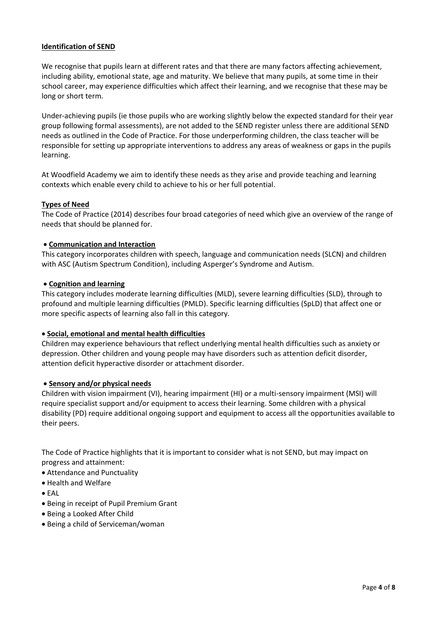## **Identification of SEND**

We recognise that pupils learn at different rates and that there are many factors affecting achievement, including ability, emotional state, age and maturity. We believe that many pupils, at some time in their school career, may experience difficulties which affect their learning, and we recognise that these may be long or short term.

Under-achieving pupils (ie those pupils who are working slightly below the expected standard for their year group following formal assessments), are not added to the SEND register unless there are additional SEND needs as outlined in the Code of Practice. For those underperforming children, the class teacher will be responsible for setting up appropriate interventions to address any areas of weakness or gaps in the pupils learning.

At Woodfield Academy we aim to identify these needs as they arise and provide teaching and learning contexts which enable every child to achieve to his or her full potential.

## **Types of Need**

The Code of Practice (2014) describes four broad categories of need which give an overview of the range of needs that should be planned for.

## • **Communication and Interaction**

This category incorporates children with speech, language and communication needs (SLCN) and children with ASC (Autism Spectrum Condition), including Asperger's Syndrome and Autism.

## • **Cognition and learning**

This category includes moderate learning difficulties (MLD), severe learning difficulties (SLD), through to profound and multiple learning difficulties (PMLD). Specific learning difficulties (SpLD) that affect one or more specific aspects of learning also fall in this category.

## • **Social, emotional and mental health difficulties**

Children may experience behaviours that reflect underlying mental health difficulties such as anxiety or depression. Other children and young people may have disorders such as attention deficit disorder, attention deficit hyperactive disorder or attachment disorder.

## • **Sensory and/or physical needs**

Children with vision impairment (VI), hearing impairment (HI) or a multi-sensory impairment (MSI) will require specialist support and/or equipment to access their learning. Some children with a physical disability (PD) require additional ongoing support and equipment to access all the opportunities available to their peers.

The Code of Practice highlights that it is important to consider what is not SEND, but may impact on progress and attainment:

- Attendance and Punctuality
- Health and Welfare
- EAL
- Being in receipt of Pupil Premium Grant
- Being a Looked After Child
- Being a child of Serviceman/woman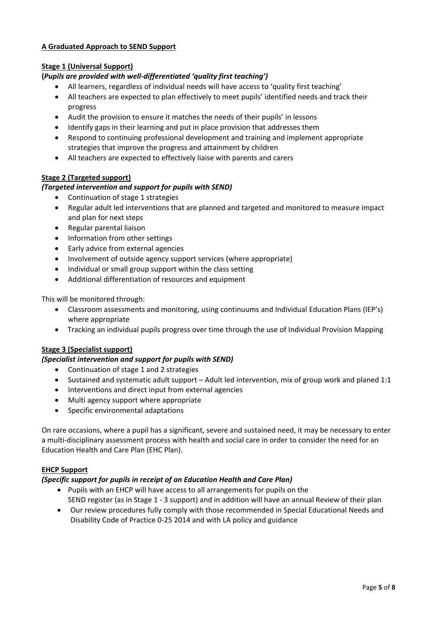# **A Graduated Approach to SEND Support**

# **Stage 1 (Universal Support)**

# **(***Pupils are provided with well-differentiated 'quality first teaching')*

- All learners, regardless of individual needs will have access to 'quality first teaching'
- All teachers are expected to plan effectively to meet pupils' identified needs and track their progress
- Audit the provision to ensure it matches the needs of their pupils' in lessons
- Identify gaps in their learning and put in place provision that addresses them
- Respond to continuing professional development and training and implement appropriate strategies that improve the progress and attainment by children
- All teachers are expected to effectively liaise with parents and carers

# **Stage 2 (Targeted support)**

# *(Targeted intervention and support for pupils with SEND)*

- Continuation of stage 1 strategies
- Regular adult led interventions that are planned and targeted and monitored to measure impact and plan for next steps
- Regular parental liaison
- Information from other settings
- Early advice from external agencies
- Involvement of outside agency support services (where appropriate)
- Individual or small group support within the class setting
- Additional differentiation of resources and equipment

This will be monitored through:

- Classroom assessments and monitoring, using continuums and Individual Education Plans (IEP's) where appropriate
- Tracking an individual pupils progress over time through the use of Individual Provision Mapping

# **Stage 3 (Specialist support)**

# *(Specialist intervention and support for pupils with SEND)*

- Continuation of stage 1 and 2 strategies
- Sustained and systematic adult support Adult led intervention, mix of group work and planed 1:1
- Interventions and direct input from external agencies
- Multi agency support where appropriate
- Specific environmental adaptations

On rare occasions, where a pupil has a significant, severe and sustained need, it may be necessary to enter a multi-disciplinary assessment process with health and social care in order to consider the need for an Education Health and Care Plan (EHC Plan).

## **EHCP Support**

# *(Specific support for pupils in receipt of an Education Health and Care Plan)*

- Pupils with an EHCP will have access to all arrangements for pupils on the SEND register (as in Stage 1 - 3 support) and in addition will have an annual Review of their plan
- Our review procedures fully comply with those recommended in Special Educational Needs and Disability Code of Practice 0-25 2014 and with LA policy and guidance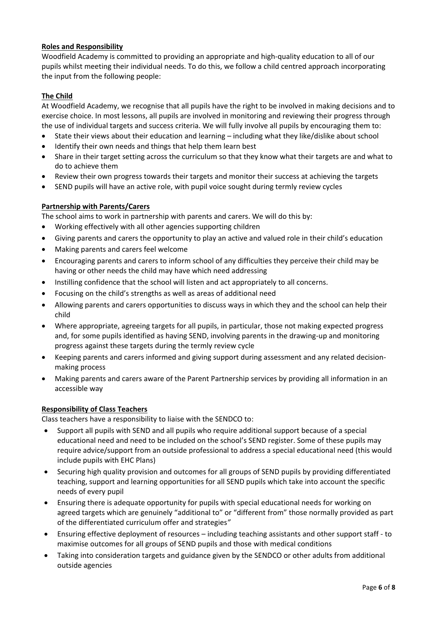# **Roles and Responsibility**

Woodfield Academy is committed to providing an appropriate and high-quality education to all of our pupils whilst meeting their individual needs. To do this, we follow a child centred approach incorporating the input from the following people:

# **The Child**

At Woodfield Academy, we recognise that all pupils have the right to be involved in making decisions and to exercise choice. In most lessons, all pupils are involved in monitoring and reviewing their progress through the use of individual targets and success criteria. We will fully involve all pupils by encouraging them to:

- State their views about their education and learning including what they like/dislike about school
- Identify their own needs and things that help them learn best
- Share in their target setting across the curriculum so that they know what their targets are and what to do to achieve them
- Review their own progress towards their targets and monitor their success at achieving the targets
- SEND pupils will have an active role, with pupil voice sought during termly review cycles

# **Partnership with Parents/Carers**

The school aims to work in partnership with parents and carers. We will do this by:

- Working effectively with all other agencies supporting children
- Giving parents and carers the opportunity to play an active and valued role in their child's education
- Making parents and carers feel welcome
- Encouraging parents and carers to inform school of any difficulties they perceive their child may be having or other needs the child may have which need addressing
- Instilling confidence that the school will listen and act appropriately to all concerns.
- Focusing on the child's strengths as well as areas of additional need
- Allowing parents and carers opportunities to discuss ways in which they and the school can help their child
- Where appropriate, agreeing targets for all pupils, in particular, those not making expected progress and, for some pupils identified as having SEND, involving parents in the drawing-up and monitoring progress against these targets during the termly review cycle
- Keeping parents and carers informed and giving support during assessment and any related decisionmaking process
- Making parents and carers aware of the Parent Partnership services by providing all information in an accessible way

# **Responsibility of Class Teachers**

Class teachers have a responsibility to liaise with the SENDCO to:

- Support all pupils with SEND and all pupils who require additional support because of a special educational need and need to be included on the school's SEND register. Some of these pupils may require advice/support from an outside professional to address a special educational need (this would include pupils with EHC Plans)
- Securing high quality provision and outcomes for all groups of SEND pupils by providing differentiated teaching, support and learning opportunities for all SEND pupils which take into account the specific needs of every pupil
- Ensuring there is adequate opportunity for pupils with special educational needs for working on agreed targets which are genuinely "additional to" or "different from" those normally provided as part of the differentiated curriculum offer and strategies*"*
- Ensuring effective deployment of resources including teaching assistants and other support staff to maximise outcomes for all groups of SEND pupils and those with medical conditions
- Taking into consideration targets and guidance given by the SENDCO or other adults from additional outside agencies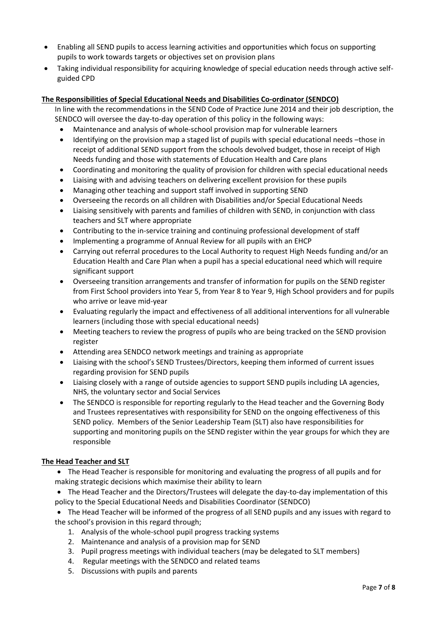- Enabling all SEND pupils to access learning activities and opportunities which focus on supporting pupils to work towards targets or objectives set on provision plans
- Taking individual responsibility for acquiring knowledge of special education needs through active selfguided CPD

## **The Responsibilities of Special Educational Needs and Disabilities Co-ordinator (SENDCO)**

In line with the recommendations in the SEND Code of Practice June 2014 and their job description, the SENDCO will oversee the day-to-day operation of this policy in the following ways:

- Maintenance and analysis of whole-school provision map for vulnerable learners
- Identifying on the provision map a staged list of pupils with special educational needs –those in receipt of additional SEND support from the schools devolved budget, those in receipt of High Needs funding and those with statements of Education Health and Care plans
- Coordinating and monitoring the quality of provision for children with special educational needs
- Liaising with and advising teachers on delivering excellent provision for these pupils
- Managing other teaching and support staff involved in supporting SEND
- Overseeing the records on all children with Disabilities and/or Special Educational Needs
- Liaising sensitively with parents and families of children with SEND, in conjunction with class teachers and SLT where appropriate
- Contributing to the in-service training and continuing professional development of staff
- Implementing a programme of Annual Review for all pupils with an EHCP
- Carrying out referral procedures to the Local Authority to request High Needs funding and/or an Education Health and Care Plan when a pupil has a special educational need which will require significant support
- Overseeing transition arrangements and transfer of information for pupils on the SEND register from First School providers into Year 5, from Year 8 to Year 9, High School providers and for pupils who arrive or leave mid-year
- Evaluating regularly the impact and effectiveness of all additional interventions for all vulnerable learners (including those with special educational needs)
- Meeting teachers to review the progress of pupils who are being tracked on the SEND provision register
- Attending area SENDCO network meetings and training as appropriate
- Liaising with the school's SEND Trustees/Directors, keeping them informed of current issues regarding provision for SEND pupils
- Liaising closely with a range of outside agencies to support SEND pupils including LA agencies, NHS, the voluntary sector and Social Services
- The SENDCO is responsible for reporting regularly to the Head teacher and the Governing Body and Trustees representatives with responsibility for SEND on the ongoing effectiveness of this SEND policy. Members of the Senior Leadership Team (SLT) also have responsibilities for supporting and monitoring pupils on the SEND register within the year groups for which they are responsible

## **The Head Teacher and SLT**

- The Head Teacher is responsible for monitoring and evaluating the progress of all pupils and for making strategic decisions which maximise their ability to learn
- The Head Teacher and the Directors/Trustees will delegate the day-to-day implementation of this policy to the Special Educational Needs and Disabilities Coordinator (SENDCO)
- The Head Teacher will be informed of the progress of all SEND pupils and any issues with regard to the school's provision in this regard through;
	- 1. Analysis of the whole-school pupil progress tracking systems
	- 2. Maintenance and analysis of a provision map for SEND
	- 3. Pupil progress meetings with individual teachers (may be delegated to SLT members)
	- 4. Regular meetings with the SENDCO and related teams
	- 5. Discussions with pupils and parents